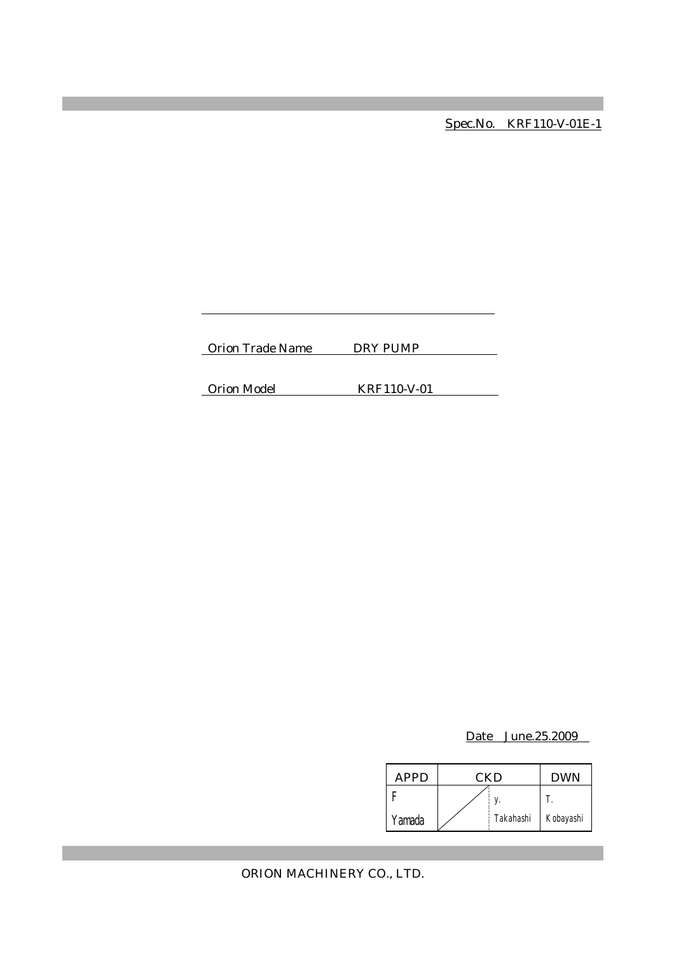Spec.No. KRF110-V-01E-1

Orion Trade Name DRY PUMP

Orion Model KRF110-V-01

Date June.25.2009

| APPD   | CKD |           | <b>DWN</b> |
|--------|-----|-----------|------------|
|        |     |           |            |
| Yamada |     | Takahashi | Kobayashi  |

ORION MACHINERY CO., LTD.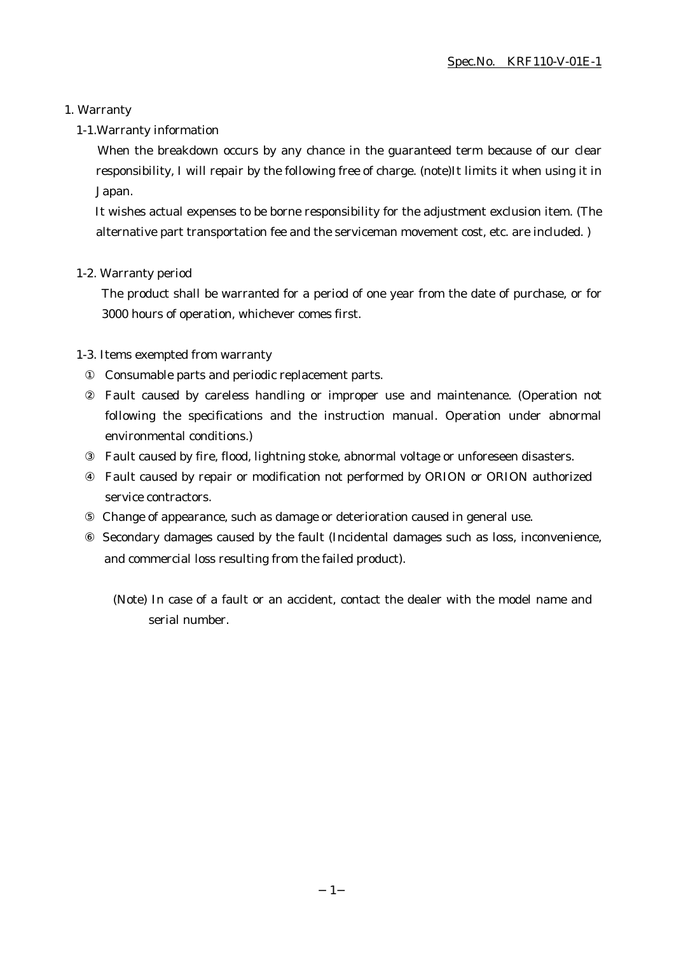## 1. Warranty

### 1-1.Warranty information

When the breakdown occurs by any chance in the guaranteed term because of our clear responsibility, I will repair by the following free of charge. (note)It limits it when using it in Japan.

It wishes actual expenses to be borne responsibility for the adjustment exclusion item. (The alternative part transportation fee and the serviceman movement cost, etc. are included. )

### 1-2. Warranty period

The product shall be warranted for a period of one year from the date of purchase, or for 3000 hours of operation, whichever comes first.

### 1-3. Items exempted from warranty

Consumable parts and periodic replacement parts.

Fault caused by careless handling or improper use and maintenance. (Operation not following the specifications and the instruction manual. Operation under abnormal environmental conditions.)

Fault caused by fire, flood, lightning stoke, abnormal voltage or unforeseen disasters.

Fault caused by repair or modification not performed by ORION or ORION authorized service contractors.

Change of appearance, such as damage or deterioration caused in general use.

 Secondary damages caused by the fault (Incidental damages such as loss, inconvenience, and commercial loss resulting from the failed product).

(Note) In case of a fault or an accident, contact the dealer with the model name and serial number.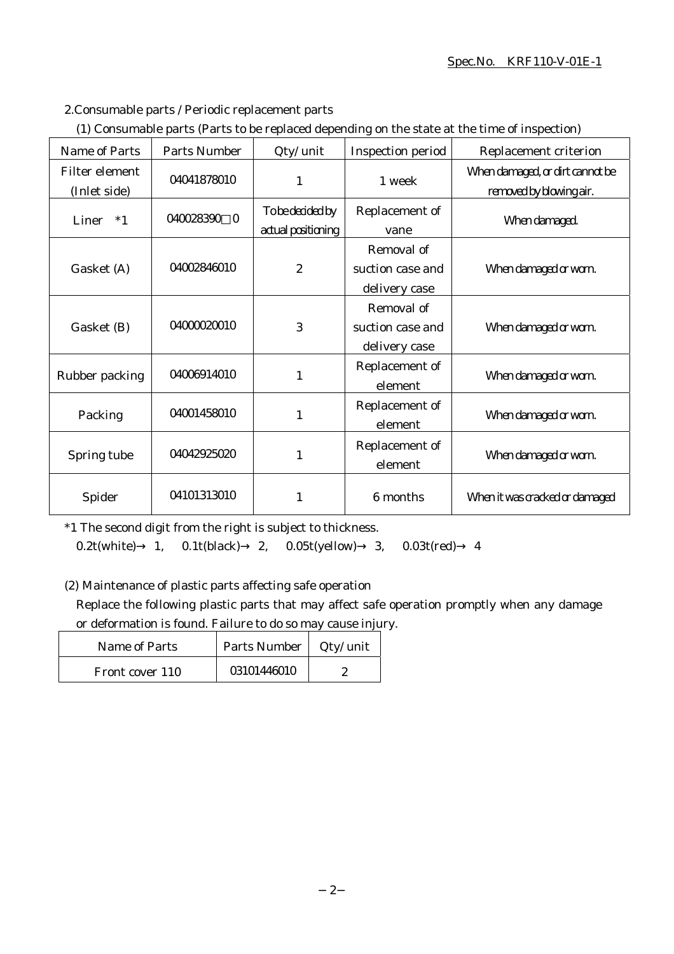### Spec.No. KRF110-V-01E-1

## 2.Consumable parts / Periodic replacement parts

|  | (1) Consumable parts (Parts to be replaced depending on the state at the time of inspection) |  |
|--|----------------------------------------------------------------------------------------------|--|
|  |                                                                                              |  |

| Name of Parts                  | <b>Parts Number</b> | Qty/ unit                              | <b>Inspection period</b>                        | Replacement criterion                                      |
|--------------------------------|---------------------|----------------------------------------|-------------------------------------------------|------------------------------------------------------------|
| Filter element<br>(Inlet side) | 04041878010         | 1                                      | 1 week                                          | When damaged, or dirt cannot be<br>removed by blowing air. |
| Liner<br>$*1$                  | 040028390 0         | To be decided by<br>actual positioning | Replacement of<br>vane                          | When damaged.                                              |
| Gasket (A)                     | 04002846010         | $\boldsymbol{2}$                       | Removal of<br>suction case and<br>delivery case | When damaged or worn.                                      |
| Gasket (B)                     | 04000020010         | 3                                      | Removal of<br>suction case and<br>delivery case | When damaged or worn.                                      |
| Rubber packing                 | 04006914010         | 1                                      | Replacement of<br>element                       | When damaged or worn.                                      |
| Packing                        | 04001458010         | 1                                      | Replacement of<br>element                       | When damaged or worn.                                      |
| Spring tube                    | 04042925020         | 1                                      | Replacement of<br>element                       | When damaged or worn.                                      |
| Spider                         | 04101313010         | 1                                      | 6 months                                        | When it was cracked or damaged                             |

\*1 The second digit from the right is subject to thickness.

0.2t(white) 1, 0.1t(black) 2, 0.05t(yellow) 3, 0.03t(red) 4

(2) Maintenance of plastic parts affecting safe operation

Replace the following plastic parts that may affect safe operation promptly when any damage or deformation is found. Failure to do so may cause injury.

| Name of Parts   | Parts Number   Qty/ unit |  |
|-----------------|--------------------------|--|
| Front cover 110 | 03101446010              |  |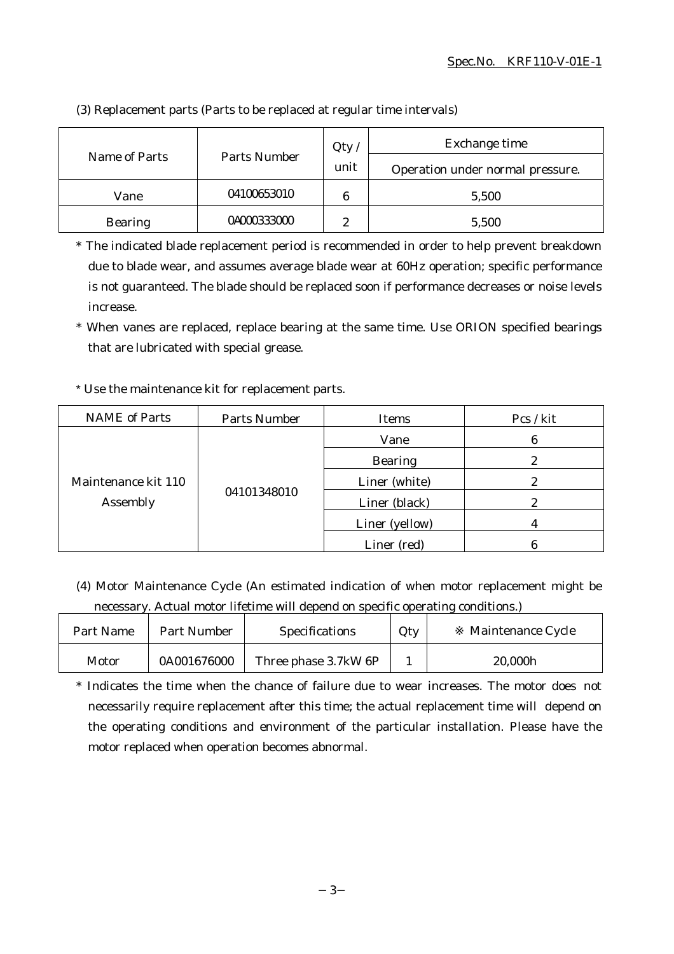|                |              | Qty    | Exchange time                    |
|----------------|--------------|--------|----------------------------------|
| Name of Parts  | Parts Number | unit   | Operation under normal pressure. |
| Vane           | 04100653010  | 6      | 5,500                            |
| <b>Bearing</b> | 04000333000  | 9<br>∼ | 5,500                            |

(3) Replacement parts (Parts to be replaced at regular time intervals)

\* The indicated blade replacement period is recommended in order to help prevent breakdown due to blade wear, and assumes average blade wear at 60Hz operation; specific performance is not guaranteed. The blade should be replaced soon if performance decreases or noise levels increase.

\* When vanes are replaced, replace bearing at the same time. Use ORION specified bearings that are lubricated with special grease.

## \* Use the maintenance kit for replacement parts.

| <b>NAME</b> of Parts            | Parts Number | Items          | Pcs / kit |
|---------------------------------|--------------|----------------|-----------|
| Maintenance kit 110<br>Assembly | 04101348010  | Vane           | 6         |
|                                 |              | <b>Bearing</b> |           |
|                                 |              | Liner (white)  |           |
|                                 |              | Liner (black)  | 2         |
|                                 |              | Liner (yellow) |           |
|                                 |              | Liner (red)    |           |

(4) Motor Maintenance Cycle (An estimated indication of when motor replacement might be necessary. Actual motor lifetime will depend on specific operating conditions.)

| Part Name | Part Number | <b>Specifications</b> | Qty | Maintenance Cycle |
|-----------|-------------|-----------------------|-----|-------------------|
| Motor     | 0A001676000 | Three phase 3.7kW 6P  |     | 20,000h           |

\* Indicates the time when the chance of failure due to wear increases. The motor does not necessarily require replacement after this time; the actual replacement time will depend on the operating conditions and environment of the particular installation. Please have the motor replaced when operation becomes abnormal.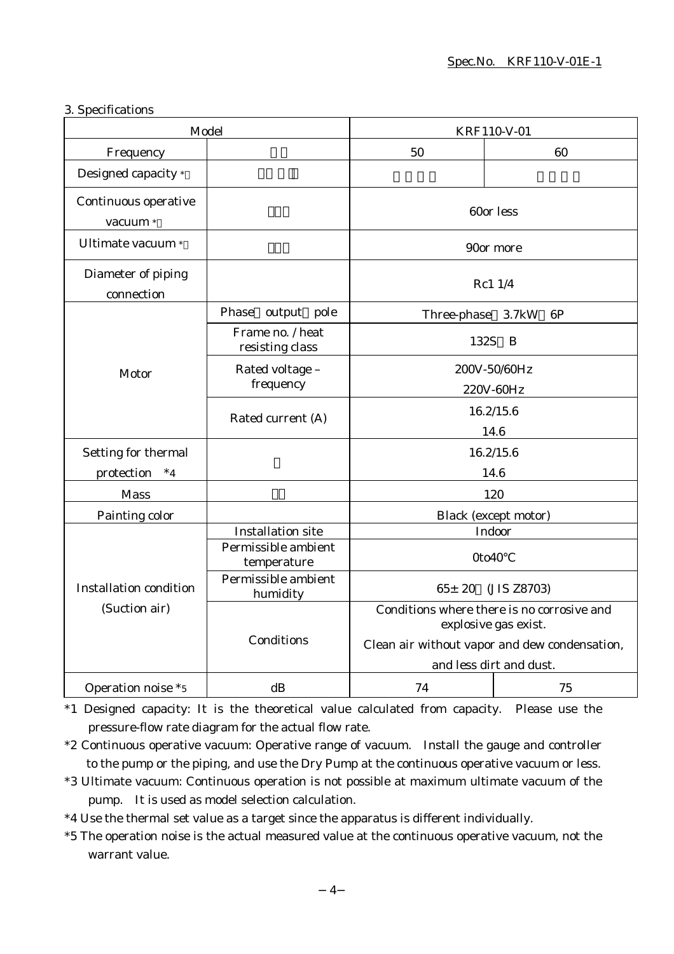## 3. Specifications

| Model                                          |                                     | KRF110-V-01                                                        |                             |
|------------------------------------------------|-------------------------------------|--------------------------------------------------------------------|-----------------------------|
| Frequency                                      |                                     | 50                                                                 | 60                          |
| Designed capacity *                            |                                     |                                                                    |                             |
| Continuous operative<br>vacuum *               |                                     | 60or less                                                          |                             |
| Ultimate vacuum *                              |                                     |                                                                    | 90or more                   |
| Diameter of piping<br>connection               |                                     |                                                                    | Rc1 1/4                     |
|                                                | Phase output pole                   | Three-phase 3.7kW                                                  | 6P                          |
|                                                | Frame no. / heat<br>resisting class | 132S B                                                             |                             |
| Motor                                          | Rated voltage -<br>frequency        | 200V-50/60Hz<br>220V-60Hz                                          |                             |
|                                                | Rated current (A)                   | 16.2/15.6<br>14.6                                                  |                             |
| Setting for thermal                            |                                     | 16.2/15.6                                                          |                             |
| protection<br>$*_{4}$                          |                                     | 14.6                                                               |                             |
| <b>Mass</b>                                    |                                     | 120                                                                |                             |
| Painting color                                 |                                     |                                                                    | <b>Black</b> (except motor) |
|                                                | <b>Installation site</b>            |                                                                    | Indoor                      |
|                                                | Permissible ambient<br>temperature  | 0to40                                                              |                             |
| <b>Installation condition</b><br>(Suction air) | Permissible ambient<br>humidity     | $65 \pm 20$ (JIS Z8703)                                            |                             |
|                                                |                                     | Conditions where there is no corrosive and<br>explosive gas exist. |                             |
|                                                | Conditions                          | Clean air without vapor and dew condensation,                      |                             |
|                                                |                                     | and less dirt and dust.                                            |                             |
| Operation noise *5                             | dB                                  | 74                                                                 | 75                          |

\*1 Designed capacity: It is the theoretical value calculated from capacity. Please use the pressure-flow rate diagram for the actual flow rate.

\*2 Continuous operative vacuum: Operative range of vacuum. Install the gauge and controller to the pump or the piping, and use the Dry Pump at the continuous operative vacuum or less.

- \*3 Ultimate vacuum: Continuous operation is not possible at maximum ultimate vacuum of the pump. It is used as model selection calculation.
- \*4 Use the thermal set value as a target since the apparatus is different individually.
- \*5 The operation noise is the actual measured value at the continuous operative vacuum, not the warrant value.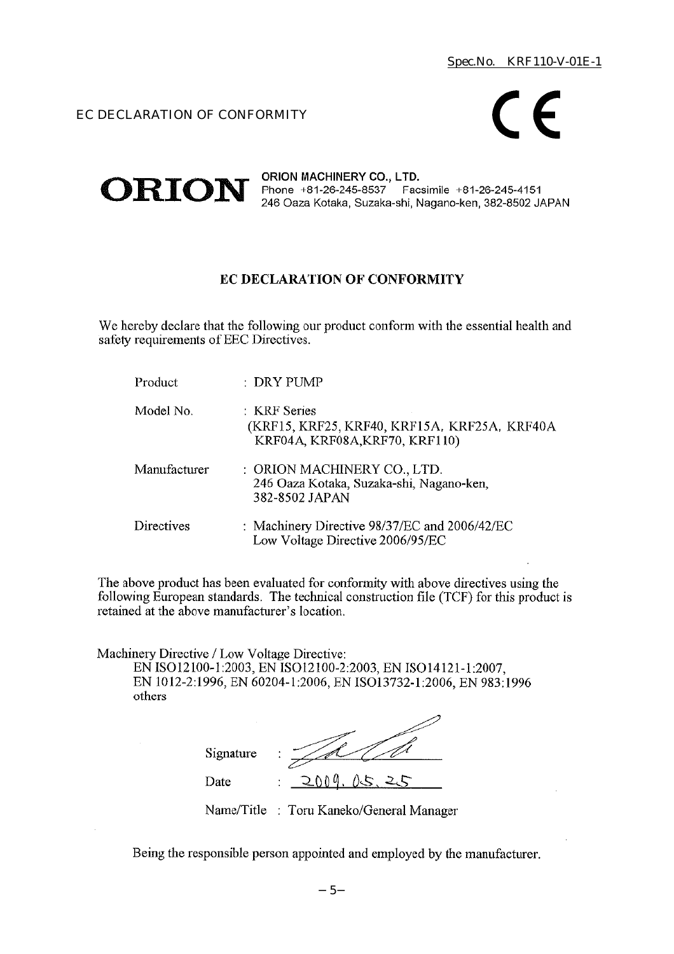## EC DECLARATION OF CONFORMITY



#### ORION MACHINERY CO., LTD.  $ORION$  Phone +81-26-245-8537 Facsimile +81-26-245-4151 246 Oaza Kotaka, Suzaka-shi, Nagano-ken, 382-8502 JAPAN

## EC DECLARATION OF CONFORMITY

We hereby declare that the following our product conform with the essential health and safety requirements of EEC Directives.

| Product      | : DRY PUMP                                                                                     |
|--------------|------------------------------------------------------------------------------------------------|
| Model No.    | : KRF Series<br>(KRF15, KRF25, KRF40, KRF15A, KRF25A, KRF40A<br>KRF04A, KRF08A, KRF70, KRF110) |
| Manufacturer | : ORION MACHINERY CO., LTD.<br>246 Oaza Kotaka, Suzaka-shi, Nagano-ken,<br>382-8502 JAPAN      |
| Directives   | : Machinery Directive 98/37/EC and 2006/42/EC<br>Low Voltage Directive 2006/95/EC              |

The above product has been evaluated for conformity with above directives using the following European standards. The technical construction file (TCF) for this product is retained at the above manufacturer's location.

Machinery Directive / Low Voltage Directive:

EN ISO12100-1:2003, EN ISO12100-2:2003, EN ISO14121-1:2007, EN 1012-2:1996, EN 60204-1:2006, EN ISO13732-1:2006, EN 983:1996 others

| Signature | ٠<br>٠               |
|-----------|----------------------|
| Date      | ስስ ወ<br>15<br>٠<br>٠ |

Name/Title : Toru Kaneko/General Manager

Being the responsible person appointed and employed by the manufacturer.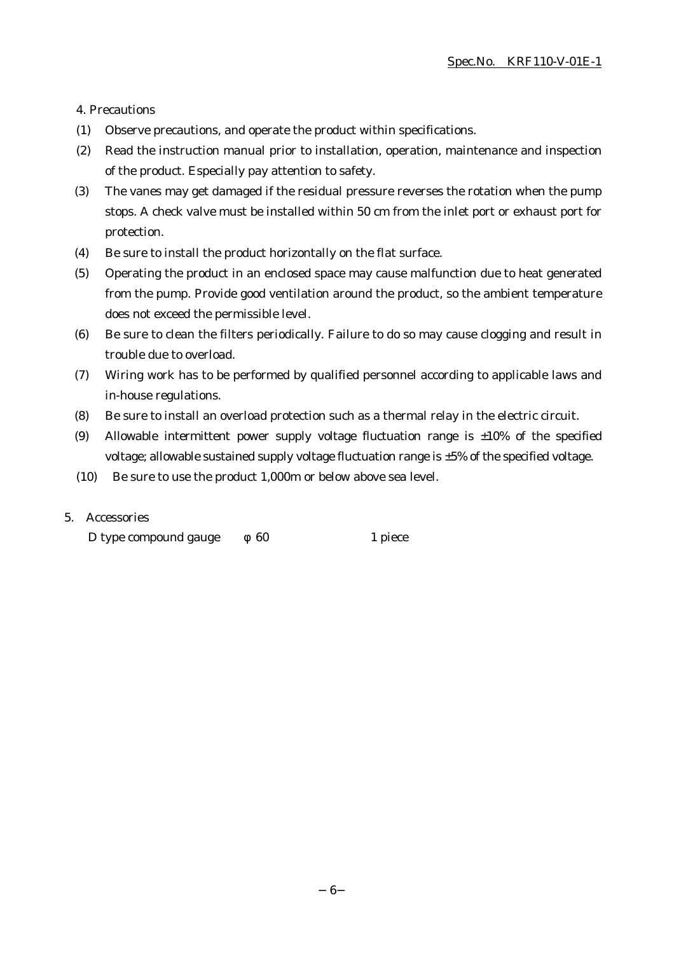4. Precautions

- (1) Observe precautions, and operate the product within specifications.
- (2) Read the instruction manual prior to installation, operation, maintenance and inspection of the product. Especially pay attention to safety.
- (3) The vanes may get damaged if the residual pressure reverses the rotation when the pump stops. A check valve must be installed within 50 cm from the inlet port or exhaust port for protection.
- (4) Be sure to install the product horizontally on the flat surface.
- (5) Operating the product in an enclosed space may cause malfunction due to heat generated from the pump. Provide good ventilation around the product, so the ambient temperature does not exceed the permissible level.
- (6) Be sure to clean the filters periodically. Failure to do so may cause clogging and result in trouble due to overload.
- (7) Wiring work has to be performed by qualified personnel according to applicable laws and in-house regulations.
- (8) Be sure to install an overload protection such as a thermal relay in the electric circuit.
- (9) Allowable intermittent power supply voltage fluctuation range is  $\pm 10\%$  of the specified voltage; allowable sustained supply voltage fluctuation range is ±5% of the specified voltage.
- (10) Be sure to use the product 1,000m or below above sea level.

### 5. Accessories

D type compound gauge 60 1 piece

6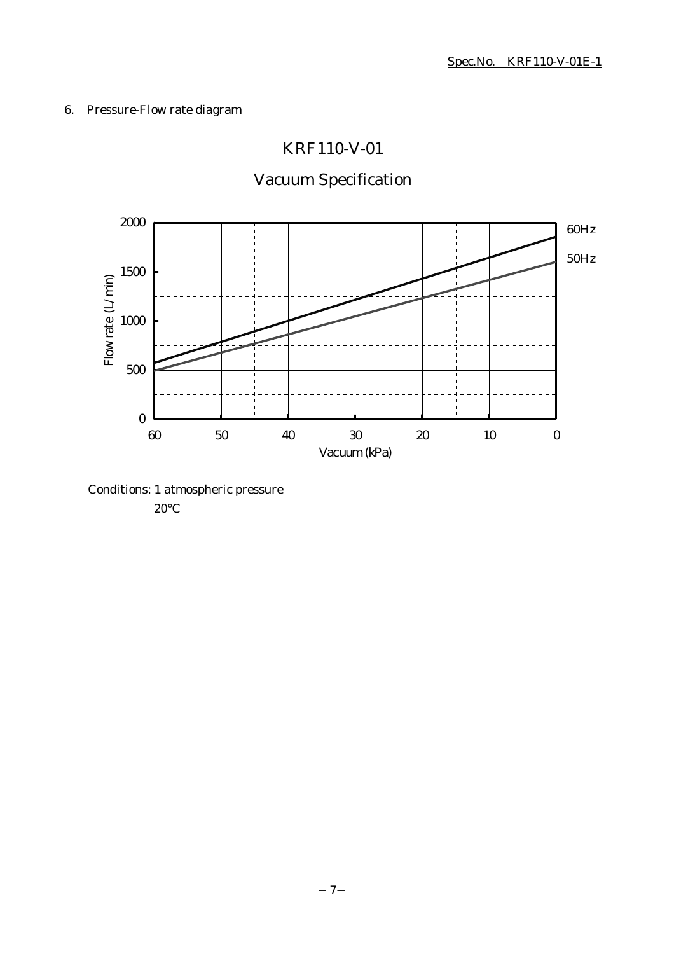## 6. Pressure-Flow rate diagram

## KRF110-V-01

# Vacuum Specification



Conditions: 1 atmospheric pressure

20